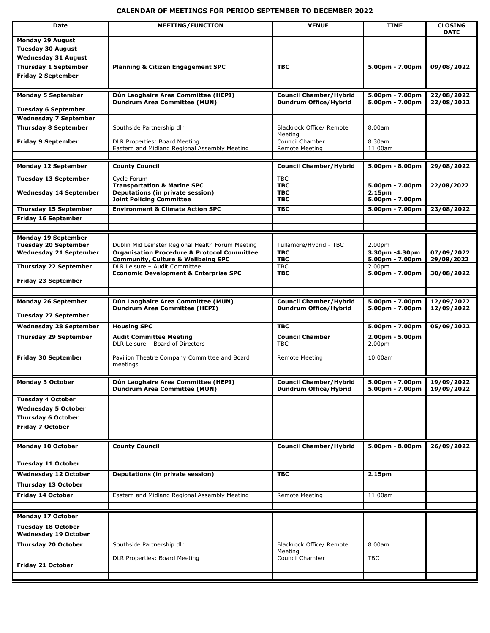## **CALENDAR OF MEETINGS FOR PERIOD SEPTEMBER TO DECEMBER 2022**

| <b>Date</b>                                                  | <b>MEETING/FUNCTION</b>                                                                                     | <b>VENUE</b>                                                  | <b>TIME</b>                          | <b>CLOSING</b>           |
|--------------------------------------------------------------|-------------------------------------------------------------------------------------------------------------|---------------------------------------------------------------|--------------------------------------|--------------------------|
| <b>Monday 29 August</b>                                      |                                                                                                             |                                                               |                                      | <b>DATE</b>              |
| <b>Tuesday 30 August</b>                                     |                                                                                                             |                                                               |                                      |                          |
| <b>Wednesday 31 August</b>                                   |                                                                                                             |                                                               |                                      |                          |
| <b>Thursday 1 September</b>                                  | <b>Planning &amp; Citizen Engagement SPC</b>                                                                | <b>TBC</b>                                                    | 5.00pm - 7.00pm                      | 09/08/2022               |
| <b>Friday 2 September</b>                                    |                                                                                                             |                                                               |                                      |                          |
|                                                              |                                                                                                             |                                                               |                                      |                          |
| <b>Monday 5 September</b>                                    | Dún Laoghaire Area Committee (HEPI)                                                                         | <b>Council Chamber/Hybrid</b>                                 | 5.00pm - 7.00pm                      | 22/08/2022               |
| <b>Tuesday 6 September</b>                                   | <b>Dundrum Area Committee (MUN)</b>                                                                         | <b>Dundrum Office/Hybrid</b>                                  | 5.00pm - 7.00pm                      | 22/08/2022               |
| <b>Wednesday 7 September</b>                                 |                                                                                                             |                                                               |                                      |                          |
| <b>Thursday 8 September</b>                                  | Southside Partnership dlr                                                                                   | Blackrock Office/ Remote                                      | 8.00am                               |                          |
|                                                              |                                                                                                             | Meeting                                                       |                                      |                          |
| <b>Friday 9 September</b>                                    | DLR Properties: Board Meeting<br>Eastern and Midland Regional Assembly Meeting                              | Council Chamber                                               | 8.30am<br>11.00am                    |                          |
|                                                              |                                                                                                             | <b>Remote Meeting</b>                                         |                                      |                          |
| <b>Monday 12 September</b>                                   | <b>County Council</b>                                                                                       | <b>Council Chamber/Hybrid</b>                                 | 5.00pm - 8.00pm                      | 29/08/2022               |
|                                                              |                                                                                                             |                                                               |                                      |                          |
| <b>Tuesday 13 September</b>                                  | Cycle Forum<br><b>Transportation &amp; Marine SPC</b>                                                       | <b>TBC</b><br><b>TBC</b>                                      | $5.00pm - 7.00pm$                    | 22/08/2022               |
| <b>Wednesday 14 September</b>                                | Deputations (in private session)                                                                            | <b>TBC</b>                                                    | 2.15pm                               |                          |
|                                                              | <b>Joint Policing Committee</b>                                                                             | <b>TBC</b>                                                    | 5.00pm - 7.00pm                      |                          |
| <b>Thursday 15 September</b>                                 | <b>Environment &amp; Climate Action SPC</b>                                                                 | <b>TBC</b>                                                    | 5.00pm - 7.00pm                      | 23/08/2022               |
| <b>Friday 16 September</b>                                   |                                                                                                             |                                                               |                                      |                          |
|                                                              |                                                                                                             |                                                               |                                      |                          |
| <b>Monday 19 September</b>                                   |                                                                                                             |                                                               |                                      |                          |
| <b>Tuesday 20 September</b><br><b>Wednesday 21 September</b> | Dublin Mid Leinster Regional Health Forum Meeting<br><b>Organisation Procedure &amp; Protocol Committee</b> | Tullamore/Hybrid - TBC<br><b>TBC</b>                          | 2.00 <sub>pm</sub><br>3.30pm -4.30pm | 07/09/2022               |
|                                                              | <b>Community, Culture &amp; Wellbeing SPC</b>                                                               | <b>TBC</b>                                                    | 5.00pm - 7.00pm                      | 29/08/2022               |
| <b>Thursday 22 September</b>                                 | DLR Leisure - Audit Committee                                                                               | <b>TBC</b><br><b>TBC</b>                                      | 2.00 <sub>pm</sub>                   |                          |
| Friday 23 September                                          | <b>Economic Development &amp; Enterprise SPC</b>                                                            |                                                               | 5.00pm - 7.00pm                      | 30/08/2022               |
|                                                              |                                                                                                             |                                                               |                                      |                          |
| <b>Monday 26 September</b>                                   | Dún Laoghaire Area Committee (MUN)                                                                          | <b>Council Chamber/Hybrid</b>                                 | 5.00pm - 7.00pm                      | 12/09/2022               |
|                                                              | <b>Dundrum Area Committee (HEPI)</b>                                                                        | <b>Dundrum Office/Hybrid</b>                                  | 5.00pm - 7.00pm                      | 12/09/2022               |
| <b>Tuesday 27 September</b>                                  |                                                                                                             |                                                               |                                      |                          |
| <b>Wednesday 28 September</b>                                | <b>Housing SPC</b>                                                                                          | <b>TBC</b>                                                    | 5.00pm - 7.00pm                      | 05/09/2022               |
| <b>Thursday 29 September</b>                                 | <b>Audit Committee Meeting</b>                                                                              | <b>Council Chamber</b>                                        | 2.00pm - 5.00pm                      |                          |
|                                                              | DLR Leisure - Board of Directors                                                                            | <b>TBC</b>                                                    | 2.00pm                               |                          |
| <b>Friday 30 September</b>                                   | Pavilion Theatre Company Committee and Board                                                                | Remote Meeting                                                | 10.00am                              |                          |
|                                                              | meetings                                                                                                    |                                                               |                                      |                          |
|                                                              |                                                                                                             |                                                               |                                      |                          |
| <b>Monday 3 October</b>                                      | Dún Laoghaire Area Committee (HEPI)<br><b>Dundrum Area Committee (MUN)</b>                                  | <b>Council Chamber/Hybrid</b><br><b>Dundrum Office/Hybrid</b> | 5.00pm - 7.00pm<br>5.00pm - 7.00pm   | 19/09/2022<br>19/09/2022 |
| <b>Tuesday 4 October</b>                                     |                                                                                                             |                                                               |                                      |                          |
| <b>Wednesday 5 October</b>                                   |                                                                                                             |                                                               |                                      |                          |
| <b>Thursday 6 October</b>                                    |                                                                                                             |                                                               |                                      |                          |
| <b>Friday 7 October</b>                                      |                                                                                                             |                                                               |                                      |                          |
|                                                              |                                                                                                             |                                                               |                                      |                          |
| <b>Monday 10 October</b>                                     | <b>County Council</b>                                                                                       | <b>Council Chamber/Hybrid</b>                                 | 5.00pm - 8.00pm                      | 26/09/2022               |
|                                                              |                                                                                                             |                                                               |                                      |                          |
| <b>Tuesday 11 October</b>                                    |                                                                                                             |                                                               |                                      |                          |
| <b>Wednesday 12 October</b>                                  | Deputations (in private session)                                                                            | <b>TBC</b>                                                    | 2.15pm                               |                          |
| <b>Thursday 13 October</b>                                   |                                                                                                             |                                                               |                                      |                          |
| Friday 14 October                                            | Eastern and Midland Regional Assembly Meeting                                                               | Remote Meeting                                                | 11.00am                              |                          |
|                                                              |                                                                                                             |                                                               |                                      |                          |
| Monday 17 October                                            |                                                                                                             |                                                               |                                      |                          |
|                                                              |                                                                                                             |                                                               |                                      |                          |
| <b>Tuesday 18 October</b><br><b>Wednesday 19 October</b>     |                                                                                                             |                                                               |                                      |                          |
| <b>Thursday 20 October</b>                                   | Southside Partnership dlr                                                                                   | Blackrock Office/ Remote                                      | 8.00am                               |                          |
|                                                              |                                                                                                             | Meeting                                                       |                                      |                          |
|                                                              | DLR Properties: Board Meeting                                                                               | Council Chamber                                               | TBC                                  |                          |
| Friday 21 October                                            |                                                                                                             |                                                               |                                      |                          |
|                                                              |                                                                                                             |                                                               |                                      |                          |